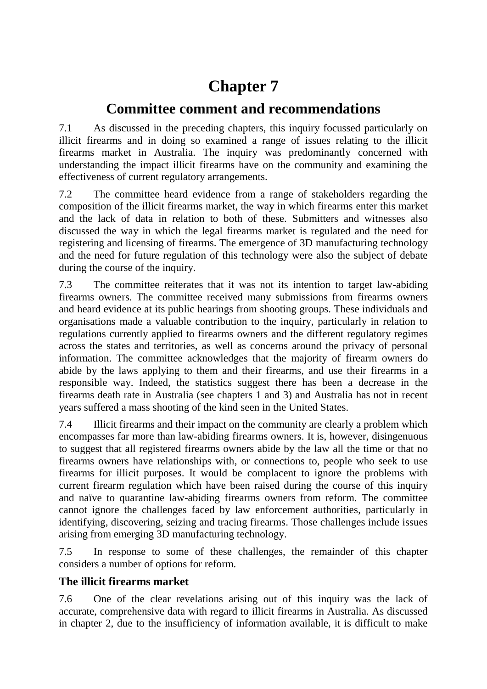# **Chapter 7**

# **Committee comment and recommendations**

7.1 As discussed in the preceding chapters, this inquiry focussed particularly on illicit firearms and in doing so examined a range of issues relating to the illicit firearms market in Australia. The inquiry was predominantly concerned with understanding the impact illicit firearms have on the community and examining the effectiveness of current regulatory arrangements.

7.2 The committee heard evidence from a range of stakeholders regarding the composition of the illicit firearms market, the way in which firearms enter this market and the lack of data in relation to both of these. Submitters and witnesses also discussed the way in which the legal firearms market is regulated and the need for registering and licensing of firearms. The emergence of 3D manufacturing technology and the need for future regulation of this technology were also the subject of debate during the course of the inquiry.

7.3 The committee reiterates that it was not its intention to target law-abiding firearms owners. The committee received many submissions from firearms owners and heard evidence at its public hearings from shooting groups. These individuals and organisations made a valuable contribution to the inquiry, particularly in relation to regulations currently applied to firearms owners and the different regulatory regimes across the states and territories, as well as concerns around the privacy of personal information. The committee acknowledges that the majority of firearm owners do abide by the laws applying to them and their firearms, and use their firearms in a responsible way. Indeed, the statistics suggest there has been a decrease in the firearms death rate in Australia (see chapters 1 and 3) and Australia has not in recent years suffered a mass shooting of the kind seen in the United States.

7.4 Illicit firearms and their impact on the community are clearly a problem which encompasses far more than law-abiding firearms owners. It is, however, disingenuous to suggest that all registered firearms owners abide by the law all the time or that no firearms owners have relationships with, or connections to, people who seek to use firearms for illicit purposes. It would be complacent to ignore the problems with current firearm regulation which have been raised during the course of this inquiry and naïve to quarantine law-abiding firearms owners from reform. The committee cannot ignore the challenges faced by law enforcement authorities, particularly in identifying, discovering, seizing and tracing firearms. Those challenges include issues arising from emerging 3D manufacturing technology.

7.5 In response to some of these challenges, the remainder of this chapter considers a number of options for reform.

# **The illicit firearms market**

7.6 One of the clear revelations arising out of this inquiry was the lack of accurate, comprehensive data with regard to illicit firearms in Australia. As discussed in chapter 2, due to the insufficiency of information available, it is difficult to make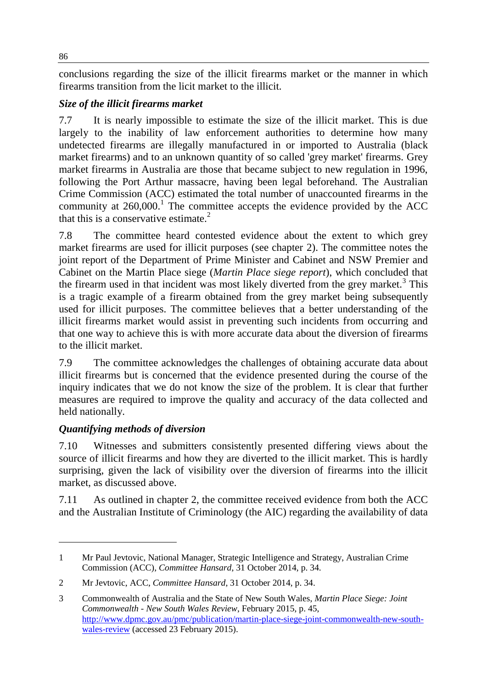conclusions regarding the size of the illicit firearms market or the manner in which firearms transition from the licit market to the illicit.

## *Size of the illicit firearms market*

7.7 It is nearly impossible to estimate the size of the illicit market. This is due largely to the inability of law enforcement authorities to determine how many undetected firearms are illegally manufactured in or imported to Australia (black market firearms) and to an unknown quantity of so called 'grey market' firearms. Grey market firearms in Australia are those that became subject to new regulation in 1996, following the Port Arthur massacre, having been legal beforehand. The Australian Crime Commission (ACC) estimated the total number of unaccounted firearms in the community at  $260,000$ .<sup>1</sup> The committee accepts the evidence provided by the ACC that this is a conservative estimate.<sup>2</sup>

7.8 The committee heard contested evidence about the extent to which grey market firearms are used for illicit purposes (see chapter 2). The committee notes the joint report of the Department of Prime Minister and Cabinet and NSW Premier and Cabinet on the Martin Place siege (*Martin Place siege report*), which concluded that the firearm used in that incident was most likely diverted from the grey market.<sup>3</sup> This is a tragic example of a firearm obtained from the grey market being subsequently used for illicit purposes. The committee believes that a better understanding of the illicit firearms market would assist in preventing such incidents from occurring and that one way to achieve this is with more accurate data about the diversion of firearms to the illicit market.

7.9 The committee acknowledges the challenges of obtaining accurate data about illicit firearms but is concerned that the evidence presented during the course of the inquiry indicates that we do not know the size of the problem. It is clear that further measures are required to improve the quality and accuracy of the data collected and held nationally.

#### *Quantifying methods of diversion*

 $\overline{a}$ 

7.10 Witnesses and submitters consistently presented differing views about the source of illicit firearms and how they are diverted to the illicit market. This is hardly surprising, given the lack of visibility over the diversion of firearms into the illicit market, as discussed above.

7.11 As outlined in chapter 2, the committee received evidence from both the ACC and the Australian Institute of Criminology (the AIC) regarding the availability of data

<sup>1</sup> Mr Paul Jevtovic, National Manager, Strategic Intelligence and Strategy, Australian Crime Commission (ACC), *Committee Hansard*, 31 October 2014, p. 34.

<sup>2</sup> Mr Jevtovic, ACC, *Committee Hansard*, 31 October 2014, p. 34.

<sup>3</sup> Commonwealth of Australia and the State of New South Wales, *Martin Place Siege: Joint Commonwealth - New South Wales Review*, February 2015, p. 45, [http://www.dpmc.gov.au/pmc/publication/martin-place-siege-joint-commonwealth-new-south](http://www.dpmc.gov.au/pmc/publication/martin-place-siege-joint-commonwealth-new-south-wales-review)[wales-review](http://www.dpmc.gov.au/pmc/publication/martin-place-siege-joint-commonwealth-new-south-wales-review) (accessed 23 February 2015).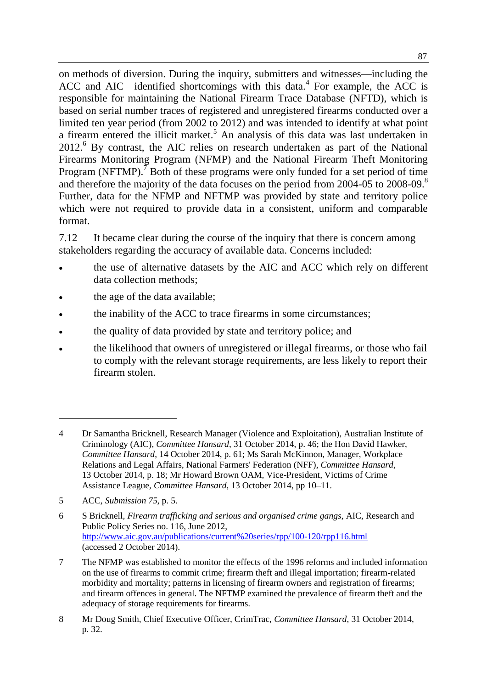on methods of diversion. During the inquiry, submitters and witnesses—including the ACC and AIC—identified shortcomings with this data. $4$  For example, the ACC is responsible for maintaining the National Firearm Trace Database (NFTD), which is based on serial number traces of registered and unregistered firearms conducted over a limited ten year period (from 2002 to 2012) and was intended to identify at what point a firearm entered the illicit market. <sup>5</sup> An analysis of this data was last undertaken in 2012.<sup>6</sup> By contrast, the AIC relies on research undertaken as part of the National Firearms Monitoring Program (NFMP) and the National Firearm Theft Monitoring Program (NFTMP).<sup>7</sup> Both of these programs were only funded for a set period of time and therefore the majority of the data focuses on the period from 2004-05 to 2008-09.<sup>8</sup> Further, data for the NFMP and NFTMP was provided by state and territory police which were not required to provide data in a consistent, uniform and comparable format.

7.12 It became clear during the course of the inquiry that there is concern among stakeholders regarding the accuracy of available data. Concerns included:

- the use of alternative datasets by the AIC and ACC which rely on different data collection methods;
- the age of the data available;
- the inability of the ACC to trace firearms in some circumstances;
- the quality of data provided by state and territory police; and
- the likelihood that owners of unregistered or illegal firearms, or those who fail to comply with the relevant storage requirements, are less likely to report their firearm stolen.

 $\overline{a}$ 

<sup>4</sup> Dr Samantha Bricknell, Research Manager (Violence and Exploitation), Australian Institute of Criminology (AIC), *Committee Hansard*, 31 October 2014, p. 46; the Hon David Hawker, *Committee Hansard*, 14 October 2014, p. 61; Ms Sarah McKinnon, Manager, Workplace Relations and Legal Affairs, National Farmers' Federation (NFF), *Committee Hansard*, 13 October 2014, p. 18; Mr Howard Brown OAM, Vice-President, Victims of Crime Assistance League, *Committee Hansard*, 13 October 2014, pp 10–11.

<sup>5</sup> ACC, *Submission 75*, p. 5.

<sup>6</sup> S Bricknell, *Firearm trafficking and serious and organised crime gangs*, AIC, Research and Public Policy Series no. 116, June 2012, <http://www.aic.gov.au/publications/current%20series/rpp/100-120/rpp116.html> (accessed 2 October 2014).

<sup>7</sup> The NFMP was established to monitor the effects of the 1996 reforms and included information on the use of firearms to commit crime; firearm theft and illegal importation; firearm-related morbidity and mortality; patterns in licensing of firearm owners and registration of firearms; and firearm offences in general. The NFTMP examined the prevalence of firearm theft and the adequacy of storage requirements for firearms.

<sup>8</sup> Mr Doug Smith, Chief Executive Officer, CrimTrac, *Committee Hansard*, 31 October 2014, p. 32.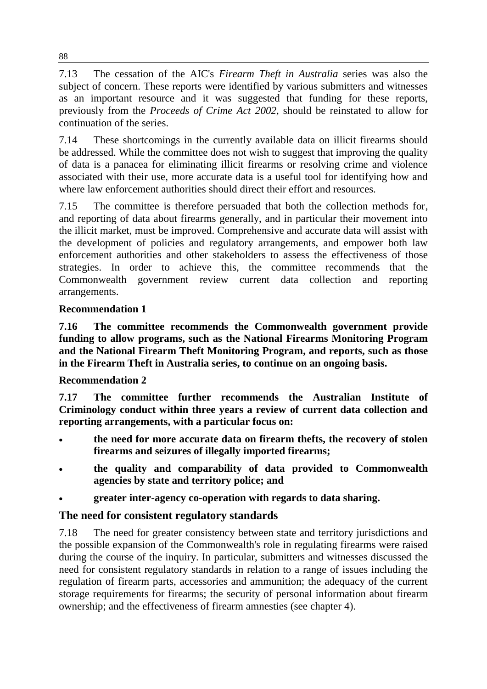7.13 The cessation of the AIC's *Firearm Theft in Australia* series was also the subject of concern. These reports were identified by various submitters and witnesses as an important resource and it was suggested that funding for these reports, previously from the *Proceeds of Crime Act 2002*, should be reinstated to allow for continuation of the series.

7.14 These shortcomings in the currently available data on illicit firearms should be addressed. While the committee does not wish to suggest that improving the quality of data is a panacea for eliminating illicit firearms or resolving crime and violence associated with their use, more accurate data is a useful tool for identifying how and where law enforcement authorities should direct their effort and resources.

7.15 The committee is therefore persuaded that both the collection methods for, and reporting of data about firearms generally, and in particular their movement into the illicit market, must be improved. Comprehensive and accurate data will assist with the development of policies and regulatory arrangements, and empower both law enforcement authorities and other stakeholders to assess the effectiveness of those strategies. In order to achieve this, the committee recommends that the Commonwealth government review current data collection and reporting arrangements.

## **Recommendation 1**

**7.16 The committee recommends the Commonwealth government provide funding to allow programs, such as the National Firearms Monitoring Program and the National Firearm Theft Monitoring Program, and reports, such as those in the Firearm Theft in Australia series, to continue on an ongoing basis.**

#### **Recommendation 2**

**7.17 The committee further recommends the Australian Institute of Criminology conduct within three years a review of current data collection and reporting arrangements, with a particular focus on:**

- **the need for more accurate data on firearm thefts, the recovery of stolen firearms and seizures of illegally imported firearms;**
- **the quality and comparability of data provided to Commonwealth agencies by state and territory police; and**
- **greater inter-agency co-operation with regards to data sharing.**

# **The need for consistent regulatory standards**

7.18 The need for greater consistency between state and territory jurisdictions and the possible expansion of the Commonwealth's role in regulating firearms were raised during the course of the inquiry. In particular, submitters and witnesses discussed the need for consistent regulatory standards in relation to a range of issues including the regulation of firearm parts, accessories and ammunition; the adequacy of the current storage requirements for firearms; the security of personal information about firearm ownership; and the effectiveness of firearm amnesties (see chapter 4).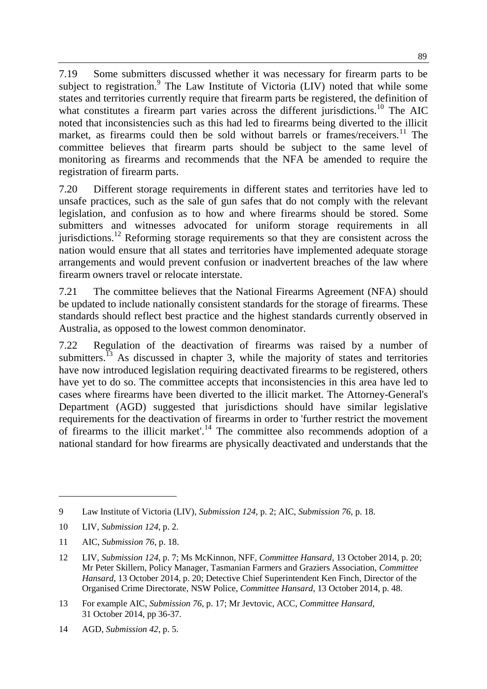7.19 Some submitters discussed whether it was necessary for firearm parts to be subject to registration. <sup>9</sup> The Law Institute of Victoria (LIV) noted that while some states and territories currently require that firearm parts be registered, the definition of what constitutes a firearm part varies across the different jurisdictions.<sup>10</sup> The AIC noted that inconsistencies such as this had led to firearms being diverted to the illicit market, as firearms could then be sold without barrels or frames/receivers.<sup>11</sup> The committee believes that firearm parts should be subject to the same level of monitoring as firearms and recommends that the NFA be amended to require the registration of firearm parts.

7.20 Different storage requirements in different states and territories have led to unsafe practices, such as the sale of gun safes that do not comply with the relevant legislation, and confusion as to how and where firearms should be stored. Some submitters and witnesses advocated for uniform storage requirements in all jurisdictions.<sup>12</sup> Reforming storage requirements so that they are consistent across the nation would ensure that all states and territories have implemented adequate storage arrangements and would prevent confusion or inadvertent breaches of the law where firearm owners travel or relocate interstate.

7.21 The committee believes that the National Firearms Agreement (NFA) should be updated to include nationally consistent standards for the storage of firearms. These standards should reflect best practice and the highest standards currently observed in Australia, as opposed to the lowest common denominator.

7.22 Regulation of the deactivation of firearms was raised by a number of submitters.<sup>13</sup> As discussed in chapter 3, while the majority of states and territories have now introduced legislation requiring deactivated firearms to be registered, others have yet to do so. The committee accepts that inconsistencies in this area have led to cases where firearms have been diverted to the illicit market. The Attorney-General's Department (AGD) suggested that jurisdictions should have similar legislative requirements for the deactivation of firearms in order to 'further restrict the movement of firearms to the illicit market'.<sup>14</sup> The committee also recommends adoption of a national standard for how firearms are physically deactivated and understands that the

 $\overline{a}$ 

<sup>9</sup> Law Institute of Victoria (LIV), *Submission 124*, p. 2; AIC, *Submission 76*, p. 18.

<sup>10</sup> LIV, *Submission 124*, p. 2.

<sup>11</sup> AIC, *Submission 76*, p. 18.

<sup>12</sup> LIV, *Submission 124*, p. 7; Ms McKinnon, NFF, *Committee Hansard*, 13 October 2014, p. 20; Mr Peter Skillern, Policy Manager, Tasmanian Farmers and Graziers Association, *Committee Hansard*, 13 October 2014, p. 20; Detective Chief Superintendent Ken Finch, Director of the Organised Crime Directorate, NSW Police, *Committee Hansard*, 13 October 2014, p. 48.

<sup>13</sup> For example AIC, *Submission 76*, p. 17; Mr Jevtovic, ACC, *Committee Hansard*, 31 October 2014, pp 36-37.

<sup>14</sup> AGD, *Submission 42*, p. 5.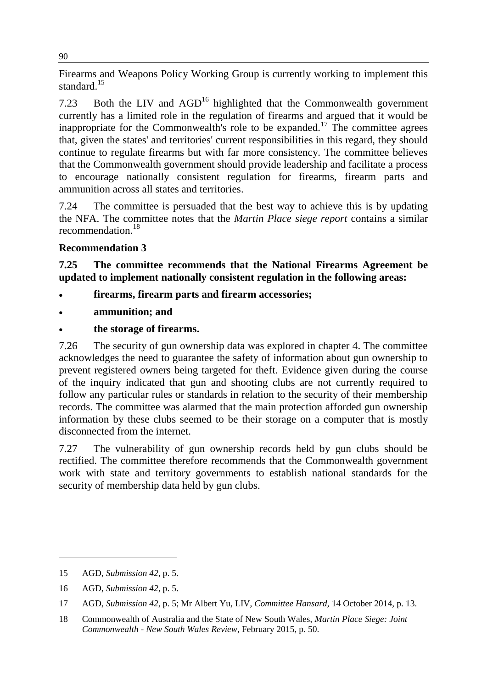Firearms and Weapons Policy Working Group is currently working to implement this standard.<sup>15</sup>

7.23 Both the LIV and  $AGD<sup>16</sup>$  highlighted that the Commonwealth government currently has a limited role in the regulation of firearms and argued that it would be inappropriate for the Commonwealth's role to be expanded.<sup>17</sup> The committee agrees that, given the states' and territories' current responsibilities in this regard, they should continue to regulate firearms but with far more consistency. The committee believes that the Commonwealth government should provide leadership and facilitate a process to encourage nationally consistent regulation for firearms, firearm parts and ammunition across all states and territories.

7.24 The committee is persuaded that the best way to achieve this is by updating the NFA. The committee notes that the *Martin Place siege report* contains a similar recommendation.<sup>18</sup>

#### **Recommendation 3**

**7.25 The committee recommends that the National Firearms Agreement be updated to implement nationally consistent regulation in the following areas:** 

- **firearms, firearm parts and firearm accessories;**
- **ammunition; and**
- **the storage of firearms.**

7.26 The security of gun ownership data was explored in chapter 4. The committee acknowledges the need to guarantee the safety of information about gun ownership to prevent registered owners being targeted for theft. Evidence given during the course of the inquiry indicated that gun and shooting clubs are not currently required to follow any particular rules or standards in relation to the security of their membership records. The committee was alarmed that the main protection afforded gun ownership information by these clubs seemed to be their storage on a computer that is mostly disconnected from the internet.

7.27 The vulnerability of gun ownership records held by gun clubs should be rectified. The committee therefore recommends that the Commonwealth government work with state and territory governments to establish national standards for the security of membership data held by gun clubs.

 $\overline{a}$ 

<sup>15</sup> AGD, *Submission 42*, p. 5.

<sup>16</sup> AGD, *Submission 42*, p. 5.

<sup>17</sup> AGD, *Submission 42*, p. 5; Mr Albert Yu, LIV, *Committee Hansard*, 14 October 2014, p. 13.

<sup>18</sup> Commonwealth of Australia and the State of New South Wales, *Martin Place Siege: Joint Commonwealth - New South Wales Review*, February 2015, p. 50.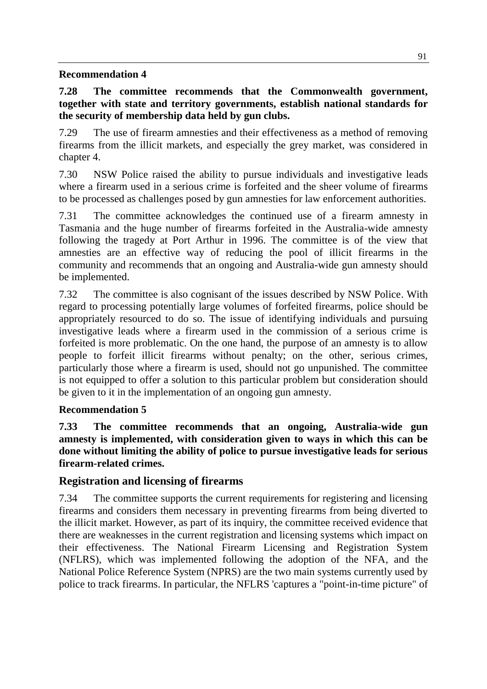#### **Recommendation 4**

#### **7.28 The committee recommends that the Commonwealth government, together with state and territory governments, establish national standards for the security of membership data held by gun clubs.**

7.29 The use of firearm amnesties and their effectiveness as a method of removing firearms from the illicit markets, and especially the grey market, was considered in chapter 4.

7.30 NSW Police raised the ability to pursue individuals and investigative leads where a firearm used in a serious crime is forfeited and the sheer volume of firearms to be processed as challenges posed by gun amnesties for law enforcement authorities.

7.31 The committee acknowledges the continued use of a firearm amnesty in Tasmania and the huge number of firearms forfeited in the Australia-wide amnesty following the tragedy at Port Arthur in 1996. The committee is of the view that amnesties are an effective way of reducing the pool of illicit firearms in the community and recommends that an ongoing and Australia-wide gun amnesty should be implemented.

7.32 The committee is also cognisant of the issues described by NSW Police. With regard to processing potentially large volumes of forfeited firearms, police should be appropriately resourced to do so. The issue of identifying individuals and pursuing investigative leads where a firearm used in the commission of a serious crime is forfeited is more problematic. On the one hand, the purpose of an amnesty is to allow people to forfeit illicit firearms without penalty; on the other, serious crimes, particularly those where a firearm is used, should not go unpunished. The committee is not equipped to offer a solution to this particular problem but consideration should be given to it in the implementation of an ongoing gun amnesty.

#### **Recommendation 5**

**7.33 The committee recommends that an ongoing, Australia-wide gun amnesty is implemented, with consideration given to ways in which this can be done without limiting the ability of police to pursue investigative leads for serious firearm-related crimes.**

#### **Registration and licensing of firearms**

7.34 The committee supports the current requirements for registering and licensing firearms and considers them necessary in preventing firearms from being diverted to the illicit market. However, as part of its inquiry, the committee received evidence that there are weaknesses in the current registration and licensing systems which impact on their effectiveness. The National Firearm Licensing and Registration System (NFLRS), which was implemented following the adoption of the NFA, and the National Police Reference System (NPRS) are the two main systems currently used by police to track firearms. In particular, the NFLRS 'captures a "point-in-time picture" of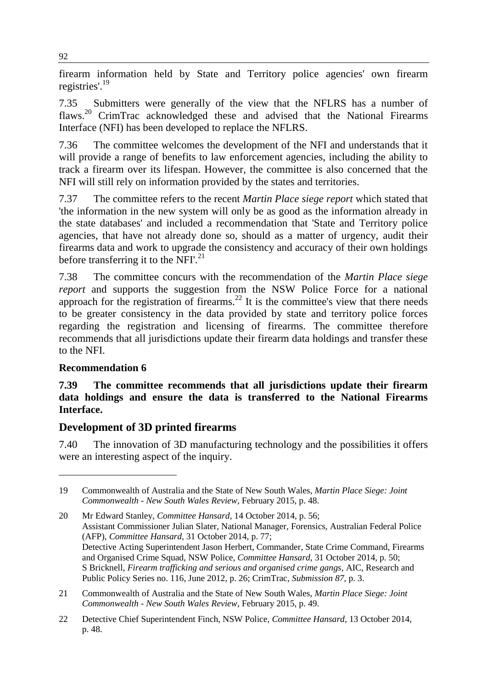firearm information held by State and Territory police agencies' own firearm registries'.<sup>19</sup>

7.35 Submitters were generally of the view that the NFLRS has a number of flaws.<sup>20</sup> CrimTrac acknowledged these and advised that the National Firearms Interface (NFI) has been developed to replace the NFLRS.

7.36 The committee welcomes the development of the NFI and understands that it will provide a range of benefits to law enforcement agencies, including the ability to track a firearm over its lifespan. However, the committee is also concerned that the NFI will still rely on information provided by the states and territories.

7.37 The committee refers to the recent *Martin Place siege report* which stated that 'the information in the new system will only be as good as the information already in the state databases' and included a recommendation that 'State and Territory police agencies, that have not already done so, should as a matter of urgency, audit their firearms data and work to upgrade the consistency and accuracy of their own holdings before transferring it to the NFI'.<sup>21</sup>

7.38 The committee concurs with the recommendation of the *Martin Place siege report* and supports the suggestion from the NSW Police Force for a national approach for the registration of firearms.<sup>22</sup> It is the committee's view that there needs to be greater consistency in the data provided by state and territory police forces regarding the registration and licensing of firearms. The committee therefore recommends that all jurisdictions update their firearm data holdings and transfer these to the NFI.

#### **Recommendation 6**

 $\overline{a}$ 

**7.39 The committee recommends that all jurisdictions update their firearm data holdings and ensure the data is transferred to the National Firearms Interface.** 

#### **Development of 3D printed firearms**

7.40 The innovation of 3D manufacturing technology and the possibilities it offers were an interesting aspect of the inquiry.

<sup>19</sup> Commonwealth of Australia and the State of New South Wales, *Martin Place Siege: Joint Commonwealth - New South Wales Review*, February 2015, p. 48.

<sup>20</sup> Mr Edward Stanley, *Committee Hansard*, 14 October 2014, p. 56; Assistant Commissioner Julian Slater, National Manager, Forensics, Australian Federal Police (AFP), *Committee Hansard*, 31 October 2014, p. 77; Detective Acting Superintendent Jason Herbert, Commander, State Crime Command, Firearms and Organised Crime Squad, NSW Police, *Committee Hansard*, 31 October 2014, p. 50; S Bricknell, *Firearm trafficking and serious and organised crime gangs*, AIC, Research and Public Policy Series no. 116, June 2012, p. 26; CrimTrac, *Submission 87*, p. 3.

<sup>21</sup> Commonwealth of Australia and the State of New South Wales, *Martin Place Siege: Joint Commonwealth - New South Wales Review*, February 2015, p. 49.

<sup>22</sup> Detective Chief Superintendent Finch, NSW Police, *Committee Hansard*, 13 October 2014, p. 48.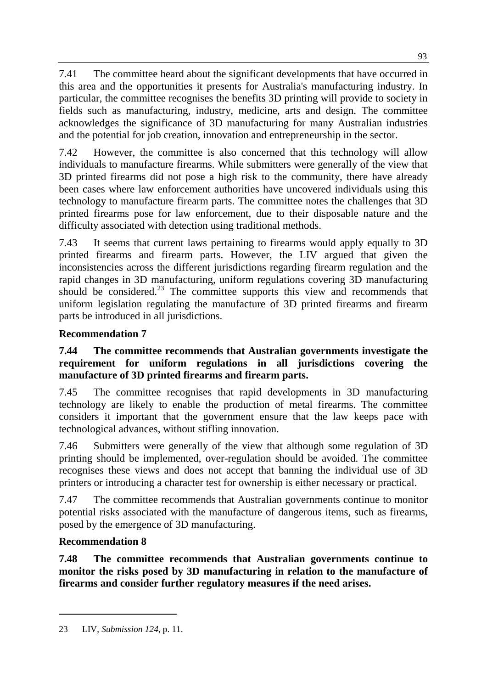7.41 The committee heard about the significant developments that have occurred in this area and the opportunities it presents for Australia's manufacturing industry. In particular, the committee recognises the benefits 3D printing will provide to society in fields such as manufacturing, industry, medicine, arts and design. The committee acknowledges the significance of 3D manufacturing for many Australian industries and the potential for job creation, innovation and entrepreneurship in the sector.

7.42 However, the committee is also concerned that this technology will allow individuals to manufacture firearms. While submitters were generally of the view that 3D printed firearms did not pose a high risk to the community, there have already been cases where law enforcement authorities have uncovered individuals using this technology to manufacture firearm parts. The committee notes the challenges that 3D printed firearms pose for law enforcement, due to their disposable nature and the difficulty associated with detection using traditional methods.

7.43 It seems that current laws pertaining to firearms would apply equally to 3D printed firearms and firearm parts. However, the LIV argued that given the inconsistencies across the different jurisdictions regarding firearm regulation and the rapid changes in 3D manufacturing, uniform regulations covering 3D manufacturing should be considered.<sup>23</sup> The committee supports this view and recommends that uniform legislation regulating the manufacture of 3D printed firearms and firearm parts be introduced in all jurisdictions.

# **Recommendation 7**

#### **7.44 The committee recommends that Australian governments investigate the requirement for uniform regulations in all jurisdictions covering the manufacture of 3D printed firearms and firearm parts.**

7.45 The committee recognises that rapid developments in 3D manufacturing technology are likely to enable the production of metal firearms. The committee considers it important that the government ensure that the law keeps pace with technological advances, without stifling innovation.

7.46 Submitters were generally of the view that although some regulation of 3D printing should be implemented, over-regulation should be avoided. The committee recognises these views and does not accept that banning the individual use of 3D printers or introducing a character test for ownership is either necessary or practical.

7.47 The committee recommends that Australian governments continue to monitor potential risks associated with the manufacture of dangerous items, such as firearms, posed by the emergence of 3D manufacturing.

# **Recommendation 8**

 $\overline{a}$ 

**7.48 The committee recommends that Australian governments continue to monitor the risks posed by 3D manufacturing in relation to the manufacture of firearms and consider further regulatory measures if the need arises.**

<sup>23</sup> LIV, *Submission 124*, p. 11.